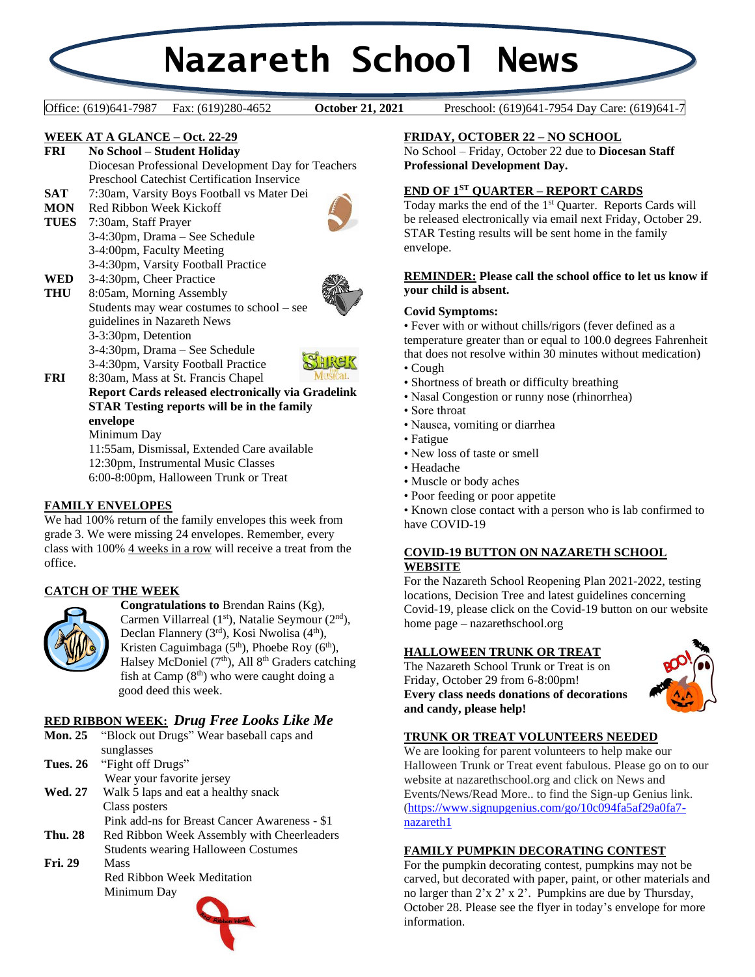# **Nazareth School News**

**October 21, 2021** 

Office: (619)641-7987 Fax: (619)280-4652 **October 21, 2021** Preschool: (619)641-7954 Day Care: (619)641-7

#### **WEEK AT A GLANCE – Oct. 22-29**

- **FRI No School – Student Holiday** Diocesan Professional Development Day for Teachers Preschool Catechist Certification Inservice
- **SAT** 7:30am, Varsity Boys Football vs Mater Dei
- **MON** Red Ribbon Week Kickoff

**WED** 3-4:30pm, Cheer Practice

**TUES** 7:30am, Staff Prayer 3-4:30pm, Drama – See Schedule 3-4:00pm, Faculty Meeting 3-4:30pm, Varsity Football Practice



- 
- **THU** 8:05am, Morning Assembly Students may wear costumes to school – see guidelines in Nazareth News 3-3:30pm, Detention 3-4:30pm, Drama – See Schedule 3-4:30pm, Varsity Football Practice



**FRI** 8:30am, Mass at St. Francis Chapel **Report Cards released electronically via Gradelink STAR Testing reports will be in the family envelope** Minimum Day 11:55am, Dismissal, Extended Care available 12:30pm, Instrumental Music Classes

6:00-8:00pm, Halloween Trunk or Treat

## **FAMILY ENVELOPES**

We had 100% return of the family envelopes this week from grade 3. We were missing 24 envelopes. Remember, every class with 100% 4 weeks in a row will receive a treat from the office.

## **CATCH OF THE WEEK**



**Congratulations to** Brendan Rains (Kg), Carmen Villarreal  $(1<sup>st</sup>)$ , Natalie Seymour  $(2<sup>nd</sup>)$ , Declan Flannery (3rd), Kosi Nwolisa (4<sup>th</sup>), Kristen Caguimbaga  $(5<sup>th</sup>)$ , Phoebe Roy  $(6<sup>th</sup>)$ , Halsey McDoniel  $(7<sup>th</sup>)$ , All  $8<sup>th</sup>$  Graders catching fish at Camp  $(8<sup>th</sup>)$  who were caught doing a good deed this week.

## **RED RIBBON WEEK:** *Drug Free Looks Like Me*

| <b>Mon. 25</b>  | "Block out Drugs" Wear baseball caps and      |
|-----------------|-----------------------------------------------|
|                 | sunglasses                                    |
| <b>Tues. 26</b> | "Fight off Drugs"                             |
|                 | Wear your favorite jersey                     |
| <b>Wed. 27</b>  | Walk 5 laps and eat a healthy snack           |
|                 | Class posters                                 |
|                 | Pink add-ns for Breast Cancer Awareness - \$1 |
| <b>Thu. 28</b>  | Red Ribbon Week Assembly with Cheerleaders    |
|                 | <b>Students wearing Halloween Costumes</b>    |
| <b>Fri. 29</b>  | Mass                                          |
|                 | Red Ribbon Week Meditation                    |
|                 | Minimum Day                                   |
|                 |                                               |

## **FRIDAY, OCTOBER 22 – NO SCHOOL**

No School – Friday, October 22 due to **Diocesan Staff Professional Development Day.**

### **END OF 1ST QUARTER – REPORT CARDS**

Today marks the end of the 1st Quarter. Reports Cards will be released electronically via email next Friday, October 29. STAR Testing results will be sent home in the family envelope.

#### **REMINDER: Please call the school office to let us know if your child is absent.**

#### **Covid Symptoms:**

• Fever with or without chills/rigors (fever defined as a temperature greater than or equal to 100.0 degrees Fahrenheit that does not resolve within 30 minutes without medication) • Cough

- 
- Shortness of breath or difficulty breathing
- Nasal Congestion or runny nose (rhinorrhea)
- Sore throat
- Nausea, vomiting or diarrhea
- Fatigue
- New loss of taste or smell
- Headache
- Muscle or body aches
- Poor feeding or poor appetite

• Known close contact with a person who is lab confirmed to have COVID-19

#### **COVID-19 BUTTON ON NAZARETH SCHOOL WEBSITE**

For the Nazareth School Reopening Plan 2021-2022, testing locations, Decision Tree and latest guidelines concerning Covid-19, please click on the Covid-19 button on our website home page – nazarethschool.org

## **HALLOWEEN TRUNK OR TREAT**

The Nazareth School Trunk or Treat is on Friday, October 29 from 6-8:00pm! **Every class needs donations of decorations and candy, please help!**



#### **TRUNK OR TREAT VOLUNTEERS NEEDED**

We are looking for parent volunteers to help make our Halloween Trunk or Treat event fabulous. Please go on to our website at nazarethschool.org and click on News and Events/News/Read More.. to find the Sign-up Genius link. [\(https://www.signupgenius.com/go/10c094fa5af29a0fa7](https://www.signupgenius.com/go/10c094fa5af29a0fa7-nazareth1) [nazareth1](https://www.signupgenius.com/go/10c094fa5af29a0fa7-nazareth1)

#### **FAMILY PUMPKIN DECORATING CONTEST**

For the pumpkin decorating contest, pumpkins may not be carved, but decorated with paper, paint, or other materials and no larger than 2'x 2' x 2'. Pumpkins are due by Thursday, October 28. Please see the flyer in today's envelope for more information.